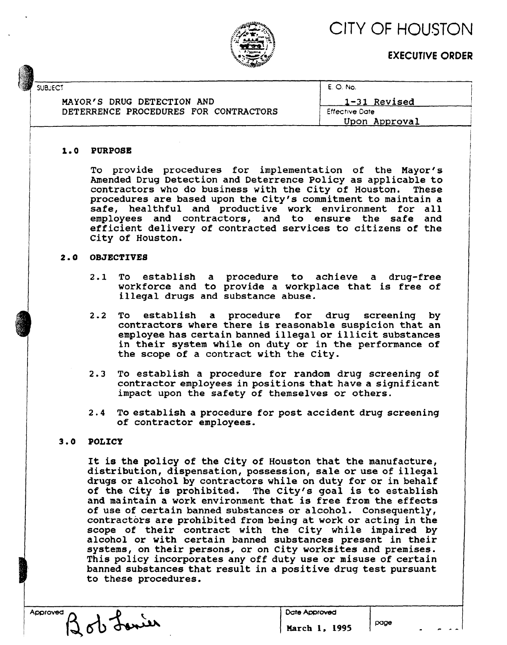CITY OF HOUSTON



**EXECUTIVE ORDER**

| G | <b>SUBJECT</b>                        | E. O. No.             |
|---|---------------------------------------|-----------------------|
|   | MAYOR'S DRUG DETECTION AND            | 1-31 Revised          |
|   | DETERRENCE PROCEDURES FOR CONTRACTORS | <b>Effective Date</b> |
|   |                                       | Upon Approval         |
|   |                                       |                       |

#### **1.0 PURPOSE**

To provide procedures for implementation of the Mayor's Amended Drug Detection and Deterrence Policy as applicable to contractors who do business with the City of Houston. These procedures are based upon the City's commitment to maintain **a** safe, healthful and productive work environment for all employees and contractors, and to ensure the safe and efficient delivery of contracted services to citizens of the City of Houston.

#### **2**.**0 OBJECTIVES**

- 2.1 To establish a procedure to achieve a drug-free workforce and to provide a workplace that is free of illegal drugs and substance abuse.
- 2.2 To establish a procedure for drug screening by contractors where there is reasonable suspicion that an employee has certain banned illegal or illicit substances in their system while on duty or in the performance of the scope of a contract with the City.
- 2.3 To establish a procedure for random drug screening of contractor employees in positions that have a significant impact upon the safety of themselves or others.
- 2.4 To establish a procedure for post accident drug screening of contractor employees.

#### **3**.**0 POLICY**

It is the policy of the City of Houston that the manufacture, distribution, dispensation, possession, sale or use of illegal drugs or alcohol by contractors while on duty for or in behalf of the City is prohibited. The City's goal is to establish and maintain **a** work environment that is free from the effects of use of certain banned substances or alcohol. Consequently, contractors are prohibited from being at work or acting in the scope of their contract with the City while impaired by alcohol or with certain banned substances present in their systems, on their persons, or on City worksites and premises. This policy incorporates any off duty use or misuse of certain banned substances that result in a positive drug test pursuant to these procedures.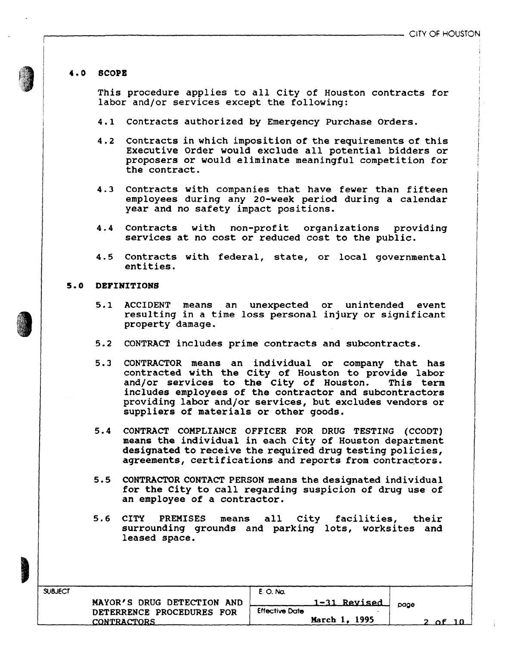#### **4** . **0 SCOPE**

This procedure applies to all city of Houston contracts for labor and/or services except the following:

- 4.1 Contracts authorized by Emergency Purchase Orders.
- 4.2 Contracts in which imposition of the requirements of this Executive Order would exclude all potential bidders or proposers or would eliminate meaningful competition for the contract.
- 4.3 Contracts with companies that have fewer than fifteen employees during any 20-week period during a calendar year and no safety impact positions.
- 4.4 Contracts with non-profit organizations providing services at no cost or reduced cost to the public.
- 4.5 Contracts with federal, state, or local governmental entities.

#### **5**.**0 DEFINITIONS**

- 5.1 ACCIDENT means an unexpected or unintended event resulting in a time loss personal injury or significant property damage.
- 5.2 CONTRACT includes prime contracts and subcontracts.
- 5.3 CONTRACTOR means an individual or company that has contracted with the City of Houston to provide labor and/or services to the City of Houston. This term includes employees of the contractor and subcontractors providing labor and/or services, but excludes vendors or suppliers of materials or other goods.
- 5.4 CONTRACT COMPLIANCE OFFICER FOR DRUG TESTING (CCODT) means the individual in each City of Houston department designated to receive the required drug testing policies, agreements, certifications and reports from contractors.
- 5.5 CONTRACTOR CONTACT PERSON means the designated individual for the City to call regarding suspicion of drug use of an employee of a contractor.
- 5.6 CITY PREMISES means all City facilities, their surrounding grounds and parking lots, worksites and leased space.

| <b>SUBJECT</b> |                            | E. O. No.                           |  |
|----------------|----------------------------|-------------------------------------|--|
|                | MAYOR'S DRUG DETECTION AND | <u>1-31 Revised </u><br>page        |  |
|                | DETERRENCE PROCEDURES FOR  | <b>Effective Date</b>               |  |
|                | <b>CONTRACTORS</b>         | March 1, 1995<br><b>__ አቶ _ 1 በ</b> |  |



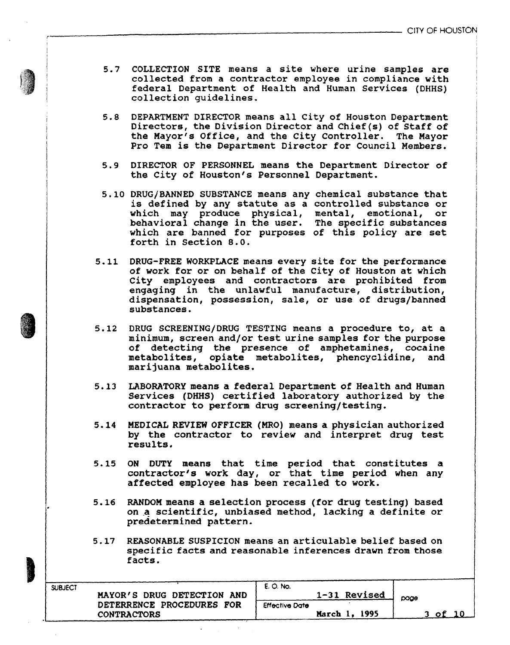- 5.7 COLLECTION SITE means a site where urine samples are collected from a contractor employee in compliance with federal Department of Health and Human Services (DHHS) collection guidelines.
- 5.8 DEPARTMENT DIRECTOR means all City of Houston Department Directors, the Division Director and Chief (s) of Staff of the Mayor's Office, and the City Controller. The Mayor Pro Tem is the Department Director for Council Members.
- 5.9 DIRECTOR OF PERSONNEL means the Department Director of the City of Houston's Personnel Department.
- 5.10 DRUG/BANNED SUBSTANCE means any chemical substance that is defined by any statute as a controlled substance or which may produce physical, mental, emotional, or behavioral change in the user. The specific substances which are banned for purposes of this policy are set forth in Section 8.0.
- 5.11 DRUG-FREE WORKPLACE means every site for the performance of work for or on behalf of the City of Houston at which City employees and contractors are prohibited from engaging in the unlawful manufacture, distribution, dispensation, possession, sale, or use of drugs/banned substances.
- 5.12 DRUG SCREENING/DRUG TESTING means a procedure to, at a minimum, screen and/or test urine samples for the purpose of detecting the presence of amphetamines, cocaine metabolites, opiate metabolites, phencyclidine, and marijuana metabolites.
- 5.13 LABORATORY means a federal Department of Health and Human Services (DHHS) certified laboratory authorized by the contractor to perform drug screening/testing.
- 5.14 MEDICAL REVIEW OFFICER (MRO) means a physician authorized by the contractor to review and interpret drug test results.
- 5.15 ON DUTY means that time period that constitutes a contractor's work day, or that time period when any affected employee has been recalled to work.
- 5.16 RANDOM means a selection process (for drug testing) based on a scientific, unbiased method, lacking a definite or predetermined pattern.
- 5.17 REASONABLE SUSPICION means an articulable belief based on specific facts and reasonable inferences drawn from those facts.

| <b>SUBJECT</b>             | E. O. No.             |         |
|----------------------------|-----------------------|---------|
| MAYOR'S DRUG DETECTION AND | 1-31 Revised          | page    |
| DETERRENCE PROCEDURES FOR  | <b>Effective Date</b> |         |
| <b>CONTRACTORS</b>         | March 1, 1995         | - of 10 |
|                            |                       |         |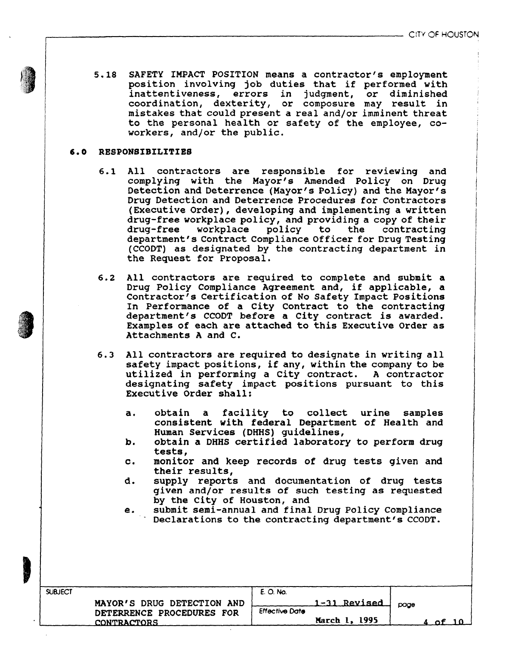*m* 5.18 SAFETY IMPACT POSITION means a contractor's employment position involving job duties that if performed with inattentiveness, errors in judgment, or diminished coordination, dexterity, or composure may result in mistakes that could present a real and/or imminent threat to the personal health or safety of the employee, coworkers, and/or the public.

#### 6.0 RESPONSIBILITIES

- 6.1 All contractors are responsible for reviewing and complying with the Mayor's Amended Policy on Drug Detection and Deterrence (Mayor's Policy) and the Mayor's Drug Detection and Deterrence Procedures for Contractors (Executive Order), developing and implementing a written drug-free workplace policy, and providing a copy of their drug-free workplace policy to the contracting department's Contract Compliance Officer for Drug Testing (CCODT) as designated by the contracting department in the Request for Proposal.
- 6.2 All contractors are required to complete and submit a Drug Policy Compliance Agreement and, if applicable, a Contractor's Certification of No Safety Impact Positions In Performance of a City Contract to the contracting department's CCODT before a City contract is awarded. Examples of each are attached to this Executive Order as Attachments A and C.
- 6.3 All contractors are required to designate in writing all safety impact positions, if any, within the company to be utilized in performing a City contract. A contractor designating safety impact positions pursuant to this Executive Order shall:
	- a. obtain a facility to collect urine samples consistent with federal Department of Health and Human Services (DHHS) guidelines,
	- b. obtain a DHHS certified laboratory to perform drug tests,
	- c. monitor and keep records of drug tests given and their results,
	- d. supply reports and documentation of drug tests given and/or results of such testing as requested by the City of Houston, and
	- e. submit semi-annual and final Drug Policy Compliance Declarations to the contracting department's CCODT.

| <b>SUBJECT</b>                                          | E. O. No.                             |      |
|---------------------------------------------------------|---------------------------------------|------|
| MAYOR'S DRUG DETECTION AND<br>DETERRENCE PROCEDURES FOR | 1-31 Revised<br><b>Effective Date</b> | page |
| <b>CONTRACTORS</b>                                      | March 1, 1995                         |      |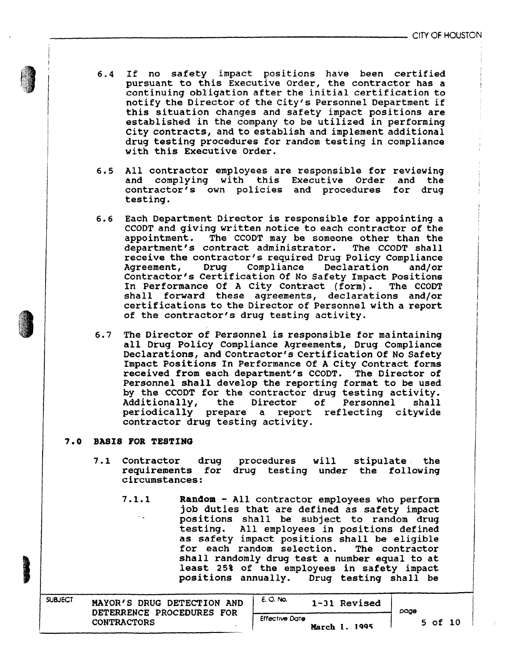- 6.4 If no safety impact positions have been certified pursuant to this Executive Order, the contractor has a continuing obligation after the initial certification to notify the Director of the City's Personnel Department if this situation changes and safety impact positions are established in the company to be utilized in performing City contracts, and to establish and implement additional drug testing procedures for random testing in compliance with this Executive Order.
- 6.5 All contractor employees are responsible for reviewing and complying with this Executive Order and the contractor's own policies and procedures for drug testing.
- 6.6 Each Department Director is responsible for appointing a CCODT and giving written notice to each contractor of the appointment. The CCODT may be someone other than the department's contract administrator. The CCODT shall receive the contractor's required Drug Policy Compliance Agreement, Drug Compliance Declaration and/or Contractor's Certification Of No Safety Impact Positions In Performance Of A City Contract (form). The CCODT shall forward these agreements, declarations and/or certifications to the Director of Personnel with a report of the contractor's drug testing activity.
- 6.7 The Director of Personnel is responsible for maintaining all Drug Policy Compliance Agreements, Drug Compliance Declarations, and Contractor's Certification Of No Safety Impact Positions In Performance Of A City Contract forms received from each department's CCODT. The Director of Personnel shall develop the reporting format to be used by the CCODT for the contractor drug testing activity. Additionally, the Director of Personnel shall periodically prepare a report reflecting citywide contractor drug testing activity.

#### **7.0 BASIS FOR TESTING**

- 7.1 Contractor drug requirements for drug testing under the following circumstances: procedures will stipulate the
	- 7.1.1 **Random** All contractor employees who perform job duties that are defined as safety impact positions shall be subject to random drug testing. All employees in positions defined as safety impact positions shall be eligible for each random selection. The contractor shall randomly drug test a number equal to at least 25% of the employees in safety impact positions annually. Drug testing shall be

| DETERRENCE PROCEDURES FOR                   |               | page |             |  |
|---------------------------------------------|---------------|------|-------------|--|
| <b>Effective Date</b><br><b>CONTRACTORS</b> | March 1, 1995 |      | $5$ of $10$ |  |

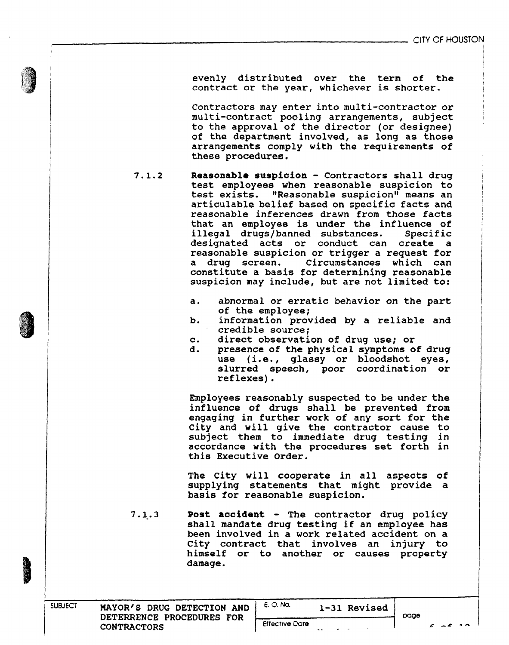evenly distributed over the term of the contract or the year, whichever is shorter.

Contractors may enter into multi-contractor or multi-contract pooling arrangements, subject to the approval of the director (or designee) of the department involved, as long as those arrangements comply with the requirements of these procedures.

- 7.1.2 **Reasonable suspicion** Contractors shall drug test employees when reasonable suspicion to test exists. "Reasonable suspicion" means an articulable belief based on specific facts and reasonable inferences drawn from those facts that an employee is under the influence of illegal drugs/banned substances. Specific designated acts or conduct can create a reasonable suspicion or trigger a request for a drug screen. Circumstances which can constitute a basis for determining reasonable suspicion may include, but are not limited to:
	- a. abnormal or erratic behavior on the part of the employee;
	- b. information provided by a reliable and credible source;
	- c. direct observation of drug use; or
	- d. presence of the physical symptoms of drug use (i.e., glassy or bloodshot eyes, slurred speech, poor coordination or reflexes).

Employees reasonably suspected to be under the influence of drugs shall be prevented from engaging in further work of any sort for the City and will give the contractor cause to subject them to immediate drug testing in accordance with the procedures set forth in this Executive Order.

The City will cooperate in all aspects of supplying statements that might provide a basis for reasonable suspicion.

7.1.3 **Post accident** - The contractor drug policy shall mandate drug testing if an employee has been involved in a work related accident on **a** City contract that involves an injury to himself or to another or causes property damage.

Effective Oate

E. O. No. **1-31 Revised**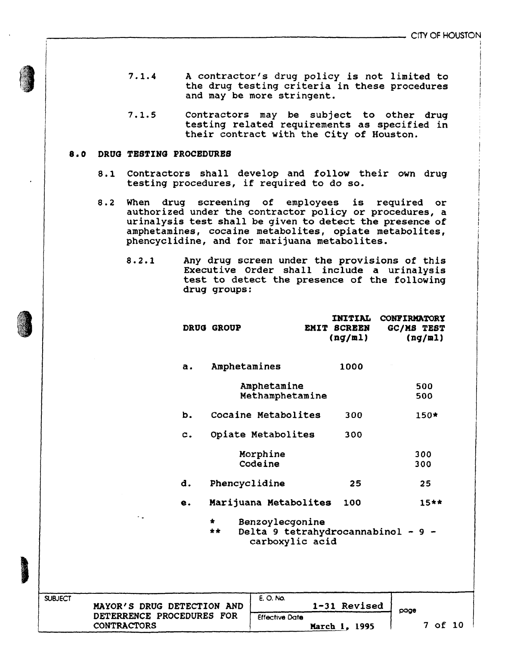- 7.1.4 A contractor's drug policy is not limited to the drug testing criteria in these procedures and may be more stringent.
- 7.1.5 Contractors may be subject to other drug testing related requirements as specified in their contract with the City of Houston.

#### **8.0 DRUG TESTING PROCEDURES**

- 8.1 Contractors shall develop and follow their own drug testing procedures, if required to do so.
- 8.2 When drug screening of employees is required or authorized under the contractor policy or procedures, a urinalysis test shall be given to detect the presence of amphetamines, cocaine metabolites, opiate metabolites, phencyclidine, and for marijuana metabolites.
	- 8.2.1 Any drug screen under the provisions of this Executive Order shall include a urinalysis test to detect the presence of the following drug groups:

|                                                         | <b>DRUG GROUP</b> |                                                                          | <b>INITIAL</b><br>EMIT SCREEN<br>(ng/ml) | CONFIRMATORY<br>GC/MS TEST | (ng/ml)    |
|---------------------------------------------------------|-------------------|--------------------------------------------------------------------------|------------------------------------------|----------------------------|------------|
| a.                                                      | Amphetamines      |                                                                          | 1000                                     |                            |            |
|                                                         |                   | Amphetamine<br>Methamphetamine                                           |                                          |                            | 500<br>500 |
| b.                                                      |                   | Cocaine Metabolites                                                      | 300                                      |                            | 150*       |
| c.                                                      |                   | Opiate Metabolites                                                       | 300                                      |                            |            |
|                                                         |                   | Morphine<br>Codeine                                                      |                                          |                            | 300<br>300 |
| d.                                                      | Phencyclidine     |                                                                          | 25                                       |                            | 25         |
| е.                                                      |                   | Marijuana Metabolites                                                    | 100                                      |                            | $15**$     |
| ٠.                                                      | $\star$<br>**     | Benzoylecgonine<br>Delta 9 tetrahydrocannabinol - 9 -<br>carboxylic acid |                                          |                            |            |
|                                                         |                   | E. O. No.                                                                | 1-31 Revised                             |                            |            |
| MAYOR'S DRUG DETECTION AND<br>DETERRENCE PROCEDURES FOR |                   | <b>Effective Date</b>                                                    |                                          | page                       |            |



**SUBJECT**

CONTRACTORS

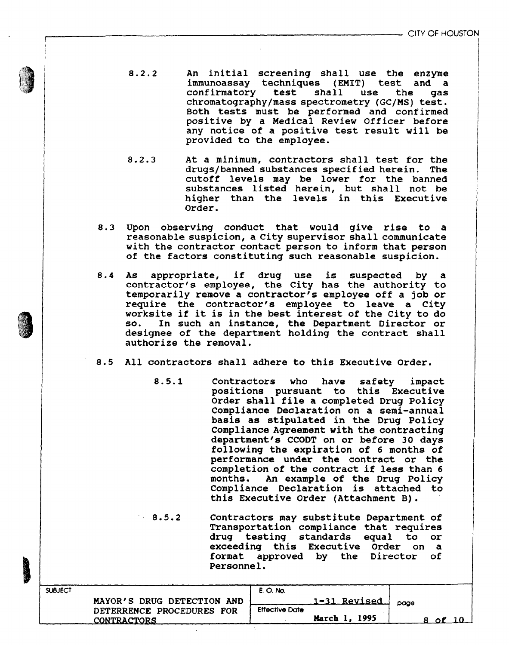- 8.2.2 An initial screening shall use the enzyme immunoassay techniques (EMIT) test and a confirmatory test shall use the gas chromatography/mass spectrometry (GC/MS) test. Both tests must be performed and confirmed positive by a Medical Review Officer before any notice of a positive test result will be provided to the employee.
- 8.2.3 At a minimum, contractors shall test for the drugs/banned substances specified herein. The cutoff levels may be lower for the banned substances listed herein, but shall not be higher than the levels in this Executive Order.
- 8.3 Upon observing conduct that would give rise to a reasonable suspicion, a City supervisor shall communicate with the contractor contact person to inform that person of the factors constituting such reasonable suspicion.
- 8.4 As appropriate, if drug use is suspected by a contractor's employee, the City has the authority to temporarily remove a contractor's employee off a job or require the contractor's employee to leave a City worksite if it is in the best interest of the City to do so. In such an instance, the Department Director or designee of the department holding the contract shall authorize the removal.
- 8.5 All contractors shall adhere to this Executive Order.
	- 8.5.1 Contractors who have safety impact positions pursuant to this Executive Order shall file a completed Drug Policy Compliance Declaration on a semi-annual basis as stipulated in the Drug Policy Compliance Agreement with the contracting department's CCODT on or before 30 days following the expiration of 6 months of performance under the contract or the completion of the contract if less than 6 months. An example of the Drug Policy Compliance Declaration is attached to this Executive Order (Attachment B) .

- 8.5.2 Contractors may substitute Department of Transportation compliance that requires drug testing standards equal to or exceeding this Executive Order on a format approved by the Director of Personnel.

| 1-31 Revised<br>MAYOR'S DRUG DETECTION AND<br>page    |  |
|-------------------------------------------------------|--|
| <b>Effective Date</b><br>DETERRENCE PROCEDURES FOR    |  |
| March 1, 1995<br><b>CONTRACTORS</b><br>$\mathsf{A}$ f |  |



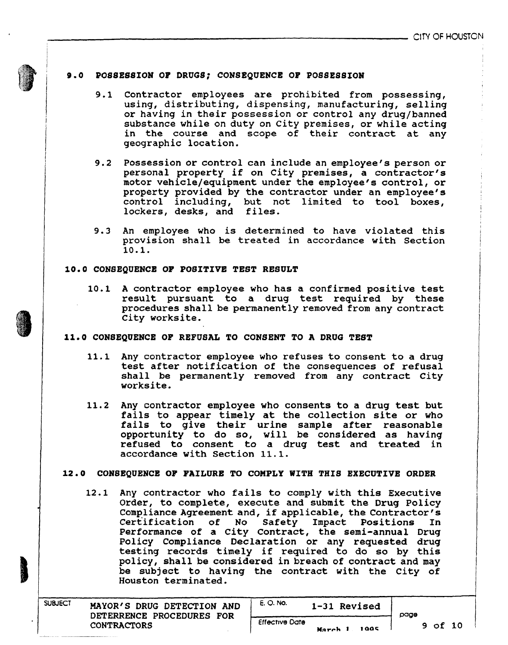#### **9.0 POSSESSION OF DRUGS; CONSEQUENCE OF POSSESSION**

- 9.1 Contractor employees are prohibited from possessing, using, distributing, dispensing, manufacturing, selling or having in their possession or control any drug/banned substance while on duty on City premises, or while acting in the course and scope of their contract at any geographic location.
- 9.2 Possession or control can include an employee's person or personal property if on City premises, a contractor's motor vehicle/equipment under the employee's control, or property provided by the contractor under an employee's control including, but not limited to tool boxes, but not limited to tool boxes, lockers, desks, and files.
- 9.3 An employee who is determined to have violated this provision shall be treated in accordance with Section 10.1.

#### **10.0 CONSEQUENCE OF POSITIVE TEST RESULT**

10.1 **A** contractor employee who has a confirmed positive test result pursuant to a drug test required by these procedures shall be permanently removed from any contract City worksite.

#### **11.0 CONSEQUENCE OF REFUSAL TO CONSENT TO A DRUG TEST**

- 11.1 Any contractor employee who refuses to consent to a drug test after notification of the consequences of refusal shall be permanently removed from any contract City worksite.
- 11.2 Any contractor employee who consents to a drug test but fails to appear timely at the collection site or who fails to give their urine sample after reasonable opportunity to do so, will be considered as having refused to consent to a drug test and treated in accordance with Section 11.1.

#### **12.0 CONSEQUENCE OF FAILURE TO COMPLY WITH THIS EXECUTIVE ORDER**

12.1 Any contractor who fails to comply with this Executive Order, to complete, execute and submit the Drug Policy Compliance Agreement and, if applicable, the Contractor's Certification of No Safety Impact Positions In Performance of a City Contract, the semi-annual Drug Policy Compliance Declaration or any requested drug testing records timely if required to do so by this policy, shall be considered in breach of contract and may be subject to having the contract with the City of Houston terminated.

| <b>SUBJECT</b> | MAYOR'S DRUG DETECTION AND<br>DETERRENCE PROCEDURES FOR | E. O. No.             | 1-31 Revised  | oaae |         |  |
|----------------|---------------------------------------------------------|-----------------------|---------------|------|---------|--|
|                | <b>CONTRACTORS</b>                                      | <b>Effective Date</b> | 1005<br>March |      | 9 of 10 |  |

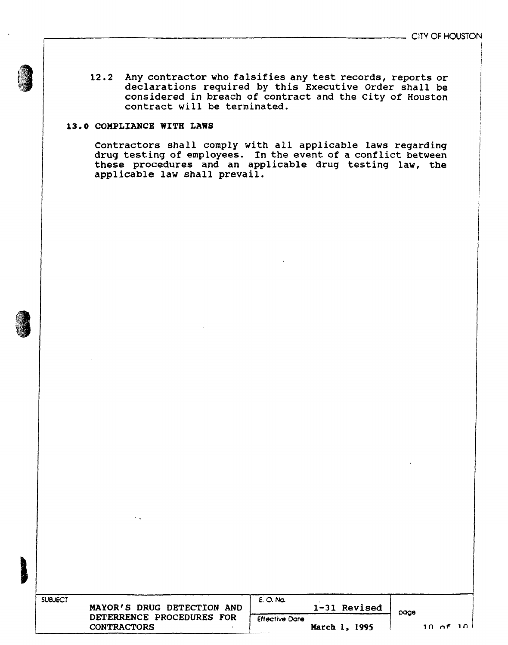12.2 Any contractor who falsifies any test records, reports or declarations required by this Executive Order shall be considered in breach of contract and the City of Houston contract will be terminated.

### **13.0 COMPLIANCE WITH LAWS**

Contractors shall comply with all applicable laws regarding drug testing of employees. In the event of a conflict between these procedures and an applicable drug testing law, the applicable law shall prevail.



| <b>SUBJECT</b><br>MAYOR'S DRUG DETECTION AND | E. O. No.<br>1-31 Revised | page                    |
|----------------------------------------------|---------------------------|-------------------------|
| DETERRENCE PROCEDURES FOR                    | <b>Effective Date</b>     |                         |
| <b>CONTRACTORS</b>                           | March 1, 1995             | $10 \, \text{of} \, 10$ |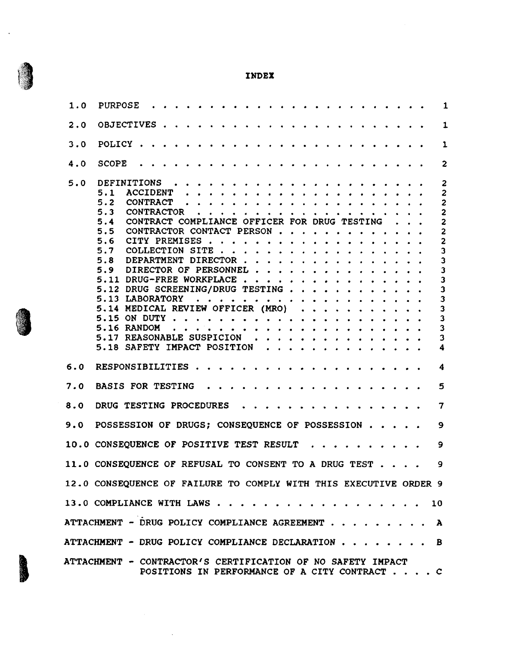

 $\mathcal{A}$ 

J

| 1.0 | <b>PURPOSE</b>                                                                                               | 1                                         |
|-----|--------------------------------------------------------------------------------------------------------------|-------------------------------------------|
| 2.0 | <b>OBJECTIVES</b>                                                                                            | $\mathbf{1}$                              |
| 3.0 | <b>POLICY</b>                                                                                                | 1                                         |
| 4.0 | <b>SCOPE</b>                                                                                                 | $\mathbf{z}$                              |
| 5.0 | <b>DEFINITIONS</b><br>$\cdot$ $\cdot$ $\cdot$ $\cdot$ $\cdot$<br><b>ACCIDENT</b><br>5.1                      | $\overline{2}$<br>$\overline{c}$          |
|     | 5.2<br>CONTRACT                                                                                              | $\overline{c}$                            |
|     | 5.3<br><b>CONTRACTOR</b>                                                                                     | $\overline{c}$                            |
|     | CONTRACT COMPLIANCE OFFICER FOR DRUG TESTING<br>5.4                                                          | $\overline{c}$                            |
|     | 5.5<br>CONTRACTOR CONTACT PERSON                                                                             | $\overline{c}$                            |
|     | 5.6<br>CITY PREMISES.<br>5.7<br>COLLECTION SITE.                                                             | $\overline{c}$<br>$\overline{\mathbf{3}}$ |
|     | 5.8<br>DEPARTMENT DIRECTOR.                                                                                  | $\overline{\mathbf{3}}$                   |
|     | 5.9<br>DIRECTOR OF PERSONNEL.                                                                                | $\overline{\mathbf{3}}$                   |
|     | 5.11 DRUG-FREE WORKPLACE.                                                                                    | $\overline{\mathbf{3}}$                   |
|     | 5.12 DRUG SCREENING/DRUG TESTING                                                                             | $\overline{\mathbf{3}}$                   |
|     | 5.13 LABORATORY                                                                                              | $\overline{\mathbf{3}}$                   |
|     | 5.14 MEDICAL REVIEW OFFICER (MRO)                                                                            | $\overline{\mathbf{3}}$                   |
|     | 5.15 ON DUTY<br>5.16 RANDOM<br>.                                                                             | $\overline{\mathbf{3}}$<br>3              |
|     | 5.17 REASONABLE SUSPICION.                                                                                   | $\overline{\mathbf{3}}$                   |
|     | 5.18 SAFETY IMPACT POSITION $\cdot \cdot \cdot \cdot \cdot \cdot \cdot \cdot \cdot \cdot$                    | $\overline{\mathbf{4}}$                   |
|     |                                                                                                              |                                           |
| 6.0 | RESPONSIBILITIES.                                                                                            | $\boldsymbol{4}$                          |
| 7.0 | <b>BASIS FOR TESTING</b>                                                                                     | 5                                         |
| 8.0 | DRUG TESTING PROCEDURES                                                                                      | $\overline{\mathbf{7}}$                   |
| 9.0 | POSSESSION OF DRUGS; CONSEQUENCE OF POSSESSION                                                               | $\mathbf{9}$                              |
|     | 10.0 CONSEQUENCE OF POSITIVE TEST RESULT                                                                     | 9                                         |
|     | 11.0 CONSEQUENCE OF REFUSAL TO CONSENT TO A DRUG TEST 9                                                      |                                           |
|     | 12.0 CONSEQUENCE OF FAILURE TO COMPLY WITH THIS EXECUTIVE ORDER 9                                            |                                           |
|     | 13.0 COMPLIANCE WITH LAWS 10                                                                                 |                                           |
|     | ATTACHMENT - DRUG POLICY COMPLIANCE AGREEMENT A                                                              |                                           |
|     | ATTACHMENT - DRUG POLICY COMPLIANCE DECLARATION B                                                            |                                           |
|     | ATTACHMENT - CONTRACTOR'S CERTIFICATION OF NO SAFETY IMPACT<br>POSITIONS IN PERFORMANCE OF A CITY CONTRACT C |                                           |

 $\sim$   $\sim$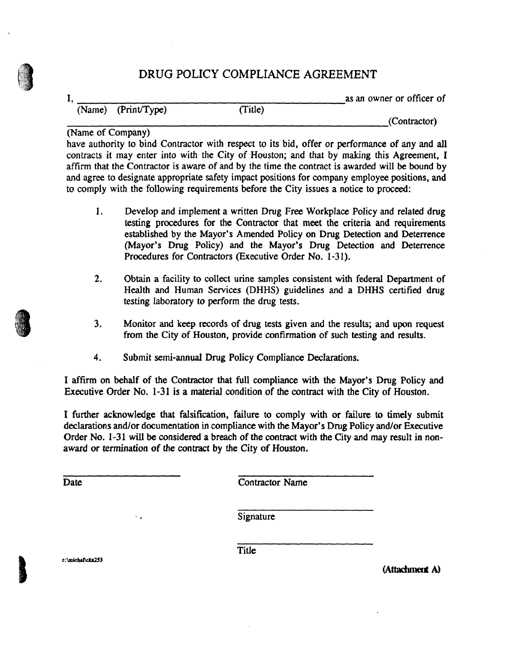# **DRUG POLICY COMPLIANCE AGREEMENT**

**(I**

(Name) (Print/Type) (Title)

I, as an owner or officer of

(Contractor)

(Name of Company)

have authority to bind Contractor with respect to its bid, offer or performance of any and all contracts it may enter into with the City of Houston; and that by making this Agreement, I affirm that the Contractor is aware of and by the time the contract is awarded will be bound by and agree to designate appropriate safety impact positions for company employee positions, and to comply with the following requirements before the City issues a notice to proceed:

- 1. Develop and implement a written Drug Free Workplace Policy and related drug testing procedures for the Contractor that meet the criteria and requirements established by the Mayor's Amended Policy on Drug Detection and Deterrence (Mayor's Drug Policy) and the Mayor's Drug Detection and Deterrence Procedures for Contractors (Executive Order No. 1-31).
- 2. Obtain a facility to collect urine samples consistent with federal Department of Health and Human Services (DHHS) guidelines and a DHHS certified drug testing laboratory to perform the drug tests.
- 3. Monitor and keep records of drug tests given and the results; and upon request from the City of Houston, provide confirmation of such testing and results.
- 4. Submit semi-annual Drug Policy Compliance Declarations.

I affirm on behalf of the Contractor that full compliance with the Mayor's Drug Policy and Executive Order No. 1-31 is a material condition of the contract with the City of Houston.

I further acknowledge that falsification, failure to comply with or failure to timely submit declarations and/or documentation in compliance with the Mayor's Drug Policy and/or Executive Order No. 1-31 will be considered a breach of the contract with the City and may result in nonaward or termination of the contract by the City of Houston.

Date Contractor Name

Signature

**c:\michal\du253**

 $\ddot{\phantom{0}}$  .

Title

(Attachment A)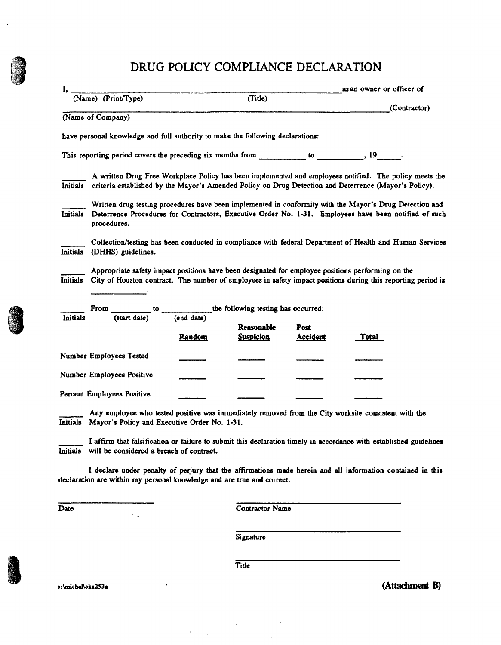# **DRUG POLICY COMPLIANCE DECLARATION**

|                 | $(Name)$ (Print/Type)                                                                                                                                                                                                           |               |                                |                         | as an owner or officer of |              |
|-----------------|---------------------------------------------------------------------------------------------------------------------------------------------------------------------------------------------------------------------------------|---------------|--------------------------------|-------------------------|---------------------------|--------------|
|                 |                                                                                                                                                                                                                                 |               | (Title)                        |                         |                           | (Contractor) |
|                 | (Name of Company)                                                                                                                                                                                                               |               |                                |                         |                           |              |
|                 | have personal knowledge and full authority to make the following declarations:                                                                                                                                                  |               |                                |                         |                           |              |
|                 | This reporting period covers the preceding six months from __________ to _________, 19 ______.                                                                                                                                  |               |                                |                         |                           |              |
| <b>Initials</b> | A written Drug Free Workplace Policy has been implemented and employees notified. The policy meets the<br>criteria established by the Mayor's Amended Policy on Drug Detection and Deterrence (Mayor's Policy).                 |               |                                |                         |                           |              |
| Initials        | Written drug testing procedures have been implemented in conformity with the Mayor's Drug Detection and<br>Deterrence Procedures for Contractors, Executive Order No. 1-31. Employees have been notified of such<br>procedures. |               |                                |                         |                           |              |
| <b>Initials</b> | Collection/testing has been conducted in compliance with federal Department of Health and Human Services<br>(DHHS) guidelines.                                                                                                  |               |                                |                         |                           |              |
|                 | Appropriate safety impact positions have been designated for employee positions performing on the<br>Initials City of Houston contract. The number of employees in safety impact positions during this reporting period is      |               |                                |                         |                           |              |
| Initials        | From $\frac{1}{(start date)}$ to $\frac{1}{(end date)}$ the following testing has occurred:                                                                                                                                     | <b>Random</b> | Reasonable<br><b>Suspicion</b> | Post<br><b>Accident</b> | <u>Total</u>              |              |
|                 | Number Employees Tested                                                                                                                                                                                                         |               |                                |                         |                           |              |
|                 | Number Employees Positive                                                                                                                                                                                                       |               |                                |                         |                           |              |
|                 | Percent Employees Positive                                                                                                                                                                                                      |               |                                |                         |                           |              |
| <b>Initials</b> | Any employee who tested positive was immediately removed from the City worksite consistent with the<br>Mayor's Policy and Executive Order No. 1-31.                                                                             |               |                                |                         |                           |              |
|                 | I affirm that falsification or failure to submit this declaration timely in accordance with established guidelines<br>Initials will be considered a breach of contract.                                                         |               |                                |                         |                           |              |
|                 | I declare under penalty of perjury that the affirmations made herein and all information contained in this<br>declaration are within my personal knowledge and are true and correct.                                            |               |                                |                         |                           |              |
| Date            |                                                                                                                                                                                                                                 |               | <b>Contractor Name</b>         |                         |                           |              |
|                 |                                                                                                                                                                                                                                 |               | Signature                      |                         |                           |              |

**Title**

 $\sim$ 

 $\bar{\bar{z}}$ 

c:\michal\cka253a **•** (Attachment B)